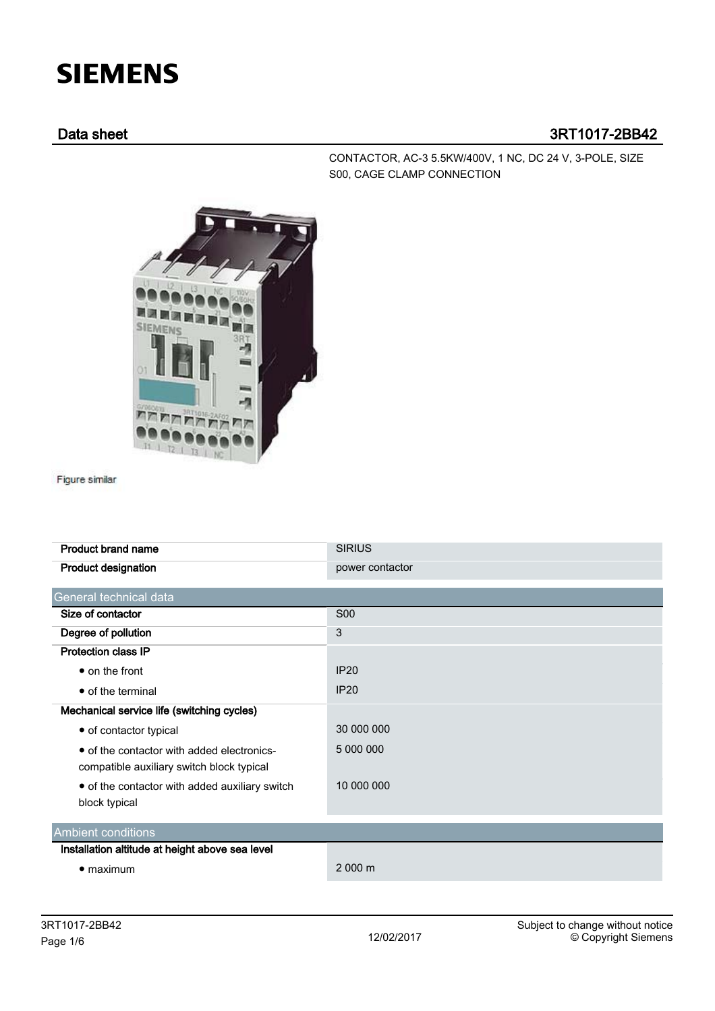## **SIEMENS**

## Data sheet 3RT1017-2BB42

CONTACTOR, AC-3 5.5KW/400V, 1 NC, DC 24 V, 3-POLE, SIZE S00, CAGE CLAMP CONNECTION



## Figure similar

| <b>Product brand name</b>                                                               | <b>SIRIUS</b>    |  |  |  |
|-----------------------------------------------------------------------------------------|------------------|--|--|--|
| <b>Product designation</b>                                                              | power contactor  |  |  |  |
| General technical data                                                                  |                  |  |  |  |
| Size of contactor                                                                       | <b>S00</b>       |  |  |  |
| Degree of pollution                                                                     | 3                |  |  |  |
| <b>Protection class IP</b>                                                              |                  |  |  |  |
| $\bullet$ on the front                                                                  | <b>IP20</b>      |  |  |  |
| • of the terminal                                                                       | <b>IP20</b>      |  |  |  |
| Mechanical service life (switching cycles)                                              |                  |  |  |  |
| • of contactor typical                                                                  | 30 000 000       |  |  |  |
| • of the contactor with added electronics-<br>compatible auxiliary switch block typical | 5 000 000        |  |  |  |
| • of the contactor with added auxiliary switch<br>block typical                         | 10 000 000       |  |  |  |
| <b>Ambient conditions</b>                                                               |                  |  |  |  |
| Installation altitude at height above sea level                                         |                  |  |  |  |
| $\bullet$ maximum                                                                       | $2000 \text{ m}$ |  |  |  |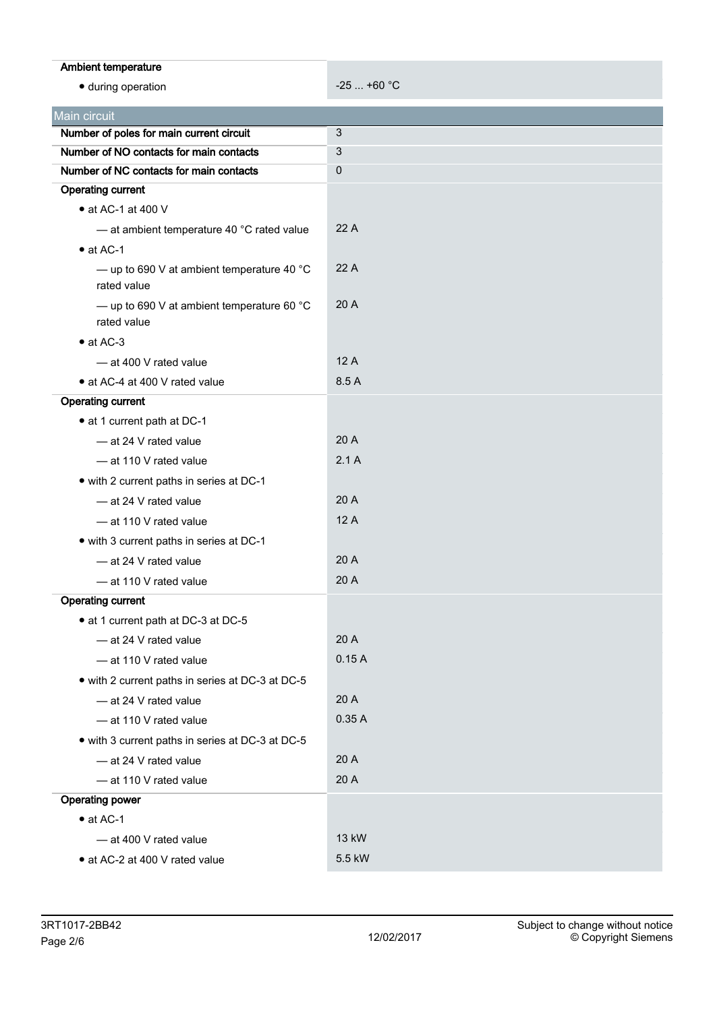| Ambient temperature                                                                 |             |
|-------------------------------------------------------------------------------------|-------------|
| · during operation                                                                  | $-25+60$ °C |
|                                                                                     |             |
| Main circuit                                                                        |             |
| Number of poles for main current circuit<br>Number of NO contacts for main contacts | 3           |
| Number of NC contacts for main contacts                                             | 3           |
| <b>Operating current</b>                                                            | 0           |
| $\bullet$ at AC-1 at 400 V                                                          |             |
| - at ambient temperature 40 °C rated value                                          | 22 A        |
| $\bullet$ at AC-1                                                                   |             |
| - up to 690 V at ambient temperature 40 $^{\circ}$ C<br>rated value                 | 22 A        |
| - up to 690 V at ambient temperature 60 $^{\circ}$ C<br>rated value                 | 20 A        |
| $\bullet$ at AC-3                                                                   |             |
| - at 400 V rated value                                                              | 12A         |
| • at AC-4 at 400 V rated value                                                      | 8.5 A       |
| <b>Operating current</b>                                                            |             |
| • at 1 current path at DC-1                                                         |             |
| - at 24 V rated value                                                               | 20 A        |
| - at 110 V rated value                                                              | 2.1A        |
| • with 2 current paths in series at DC-1                                            |             |
| -at 24 V rated value                                                                | 20 A        |
| - at 110 V rated value                                                              | 12A         |
| • with 3 current paths in series at DC-1                                            |             |
| - at 24 V rated value                                                               | 20 A        |
| - at 110 V rated value                                                              | 20 A        |
| <b>Operating current</b>                                                            |             |
| • at 1 current path at DC-3 at DC-5                                                 |             |
| - at 24 V rated value                                                               | 20 A        |
| - at 110 V rated value                                                              | 0.15A       |
| • with 2 current paths in series at DC-3 at DC-5                                    |             |
| - at 24 V rated value                                                               | 20 A        |
| - at 110 V rated value                                                              | 0.35A       |
| • with 3 current paths in series at DC-3 at DC-5                                    |             |
| - at 24 V rated value                                                               | 20 A        |
| - at 110 V rated value                                                              | 20 A        |
| <b>Operating power</b>                                                              |             |
| $\bullet$ at AC-1                                                                   |             |
| - at 400 V rated value                                                              | 13 kW       |
| • at AC-2 at 400 V rated value                                                      | 5.5 kW      |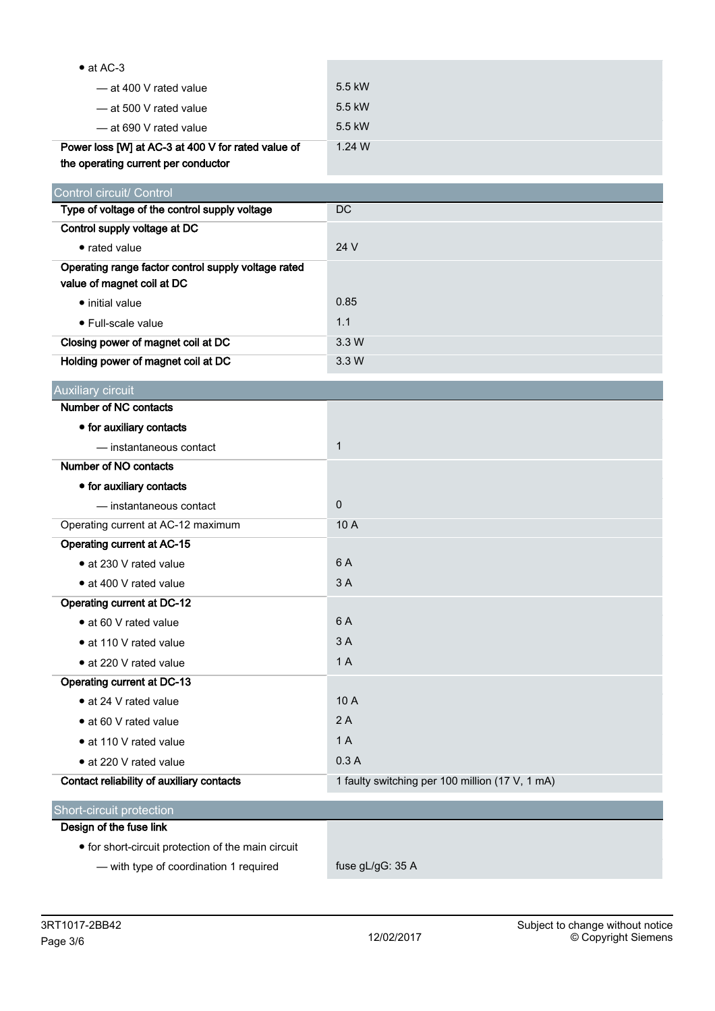| $\bullet$ at AC-3                                                                 |                                                 |
|-----------------------------------------------------------------------------------|-------------------------------------------------|
| - at 400 V rated value                                                            | 5.5 kW                                          |
| — at 500 V rated value                                                            | 5.5 kW                                          |
| -at 690 V rated value                                                             | 5.5 kW                                          |
| Power loss [W] at AC-3 at 400 V for rated value of                                | 1.24 W                                          |
| the operating current per conductor                                               |                                                 |
| Control circuit/ Control                                                          |                                                 |
| Type of voltage of the control supply voltage                                     | DC                                              |
| Control supply voltage at DC                                                      |                                                 |
| • rated value                                                                     | 24 V                                            |
| Operating range factor control supply voltage rated<br>value of magnet coil at DC |                                                 |
| • initial value                                                                   | 0.85                                            |
| • Full-scale value                                                                | 1.1                                             |
| Closing power of magnet coil at DC                                                | 3.3 W                                           |
| Holding power of magnet coil at DC                                                | 3.3W                                            |
| Auxiliary circuit                                                                 |                                                 |
| Number of NC contacts                                                             |                                                 |
| • for auxiliary contacts                                                          |                                                 |
| - instantaneous contact                                                           | $\mathbf{1}$                                    |
| Number of NO contacts                                                             |                                                 |
| • for auxiliary contacts                                                          |                                                 |
| — instantaneous contact                                                           | $\mathbf 0$                                     |
| Operating current at AC-12 maximum                                                | 10A                                             |
| Operating current at AC-15                                                        |                                                 |
| • at 230 V rated value                                                            | 6 A                                             |
| • at 400 V rated value                                                            | 3A                                              |
| <b>Operating current at DC-12</b>                                                 |                                                 |
| · at 60 V rated value                                                             | 6 A                                             |
| · at 110 V rated value                                                            | 3A                                              |
| • at 220 V rated value                                                            | 1 A                                             |
| Operating current at DC-13                                                        |                                                 |
| • at 24 V rated value                                                             | 10 A                                            |
| • at 60 V rated value                                                             | 2A                                              |
| • at 110 V rated value                                                            | 1A                                              |
| · at 220 V rated value                                                            | 0.3A                                            |
| Contact reliability of auxiliary contacts                                         | 1 faulty switching per 100 million (17 V, 1 mA) |
| Short-circuit protection                                                          |                                                 |
| Design of the fuse link                                                           |                                                 |

● for short-circuit protection of the main circuit

— with type of coordination 1 required fuse gL/gG: 35 A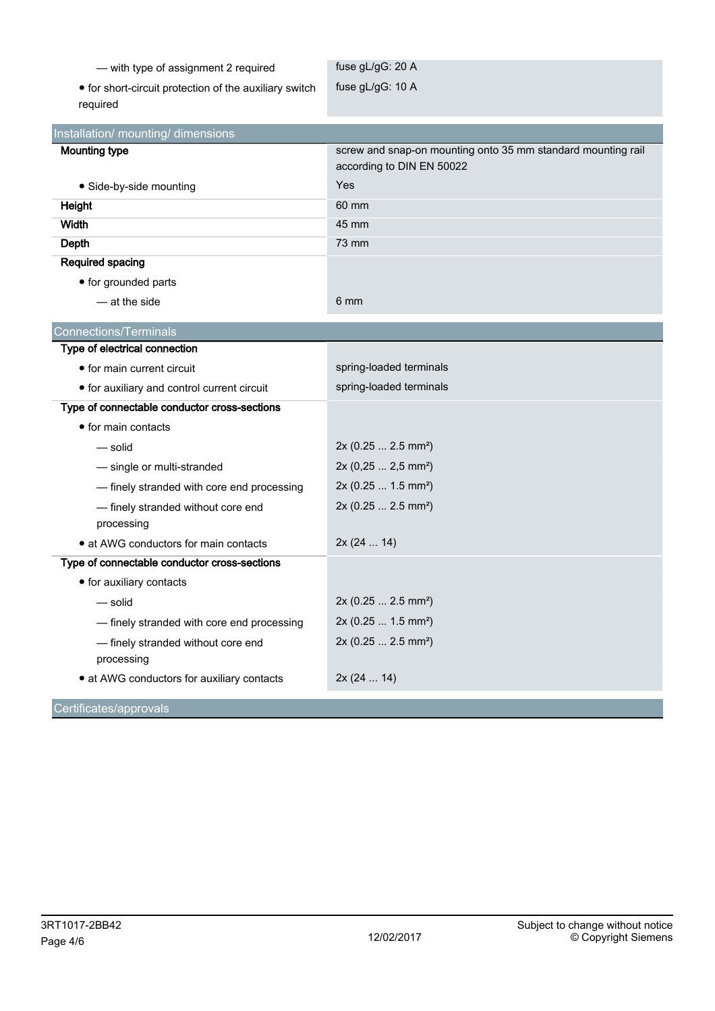| - with type of assignment 2 required                   | fuse gL/gG: 20 A                                             |
|--------------------------------------------------------|--------------------------------------------------------------|
| • for short-circuit protection of the auxiliary switch | fuse gL/gG: 10 A                                             |
| required                                               |                                                              |
| Installation/ mounting/ dimensions                     |                                                              |
| <b>Mounting type</b>                                   | screw and snap-on mounting onto 35 mm standard mounting rail |
|                                                        | according to DIN EN 50022                                    |
| • Side-by-side mounting                                | Yes                                                          |
| Height                                                 | 60 mm                                                        |
| Width                                                  | 45 mm                                                        |
| Depth                                                  | 73 mm                                                        |
| <b>Required spacing</b>                                |                                                              |
| • for grounded parts                                   |                                                              |
| - at the side                                          | 6 mm                                                         |
| <b>Connections/Terminals</b>                           |                                                              |
| Type of electrical connection                          |                                                              |
| • for main current circuit                             | spring-loaded terminals                                      |
| • for auxiliary and control current circuit            | spring-loaded terminals                                      |
| Type of connectable conductor cross-sections           |                                                              |
| • for main contacts                                    |                                                              |
| — solid                                                | 2x (0.25  2.5 mm <sup>2</sup> )                              |
| - single or multi-stranded                             | 2x (0,25  2,5 mm <sup>2</sup> )                              |
| - finely stranded with core end processing             | 2x (0.25  1.5 mm <sup>2</sup> )                              |
| - finely stranded without core end                     | 2x (0.25  2.5 mm <sup>2</sup> )                              |
| processing                                             |                                                              |
| • at AWG conductors for main contacts                  | 2x(2414)                                                     |
| Type of connectable conductor cross-sections           |                                                              |
| • for auxiliary contacts                               |                                                              |
| — solid                                                | 2x (0.25  2.5 mm <sup>2</sup> )                              |
| - finely stranded with core end processing             | 2x (0.25  1.5 mm <sup>2</sup> )                              |
| - finely stranded without core end                     | 2x (0.25  2.5 mm <sup>2</sup> )                              |
| processing                                             |                                                              |
| • at AWG conductors for auxiliary contacts             | 2x (24  14)                                                  |
| Certificates/approvals                                 |                                                              |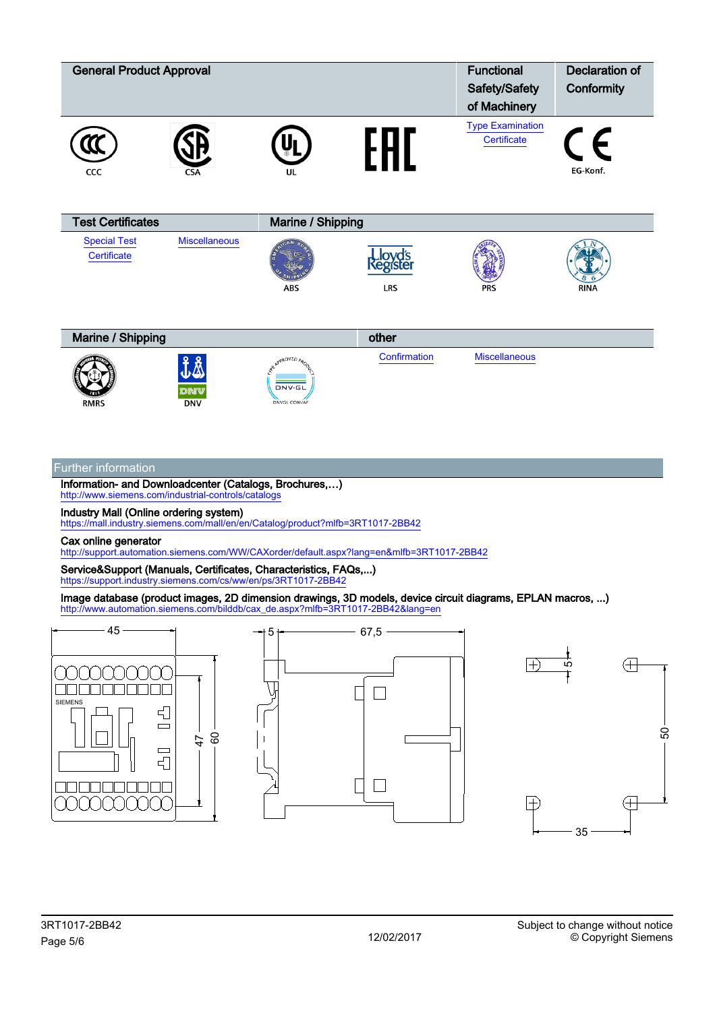| <b>General Product Approval</b>    |                          |                                                |                            | <b>Functional</b><br>Safety/Safety<br>of Machinery | <b>Declaration of</b><br>Conformity |
|------------------------------------|--------------------------|------------------------------------------------|----------------------------|----------------------------------------------------|-------------------------------------|
| CCC                                |                          | UL                                             | EAL                        | <b>Type Examination</b><br>Certificate             | $\epsilon$<br>EG-Konf.              |
| <b>Test Certificates</b>           | Marine / Shipping        |                                                |                            |                                                    |                                     |
| <b>Special Test</b><br>Certificate | <b>Miscellaneous</b>     | ABS                                            | Lloyd's<br>Register<br>LRS | <b>PRS</b>                                         | <b>RINA</b>                         |
| Marine / Shipping                  |                          |                                                | other                      |                                                    |                                     |
| <b>RMRS</b>                        | <b>DNV</b><br><b>DNV</b> | APPROVED APOO<br><b>DNV·GL</b><br>DNVGL.COM/AF | Confirmation               | <b>Miscellaneous</b>                               |                                     |
| <b>Further information</b>         |                          |                                                |                            |                                                    |                                     |

Information- and Downloadcenter (Catalogs, Brochures,…) <http://www.siemens.com/industrial-controls/catalogs>

Industry Mall (Online ordering system)

<https://mall.industry.siemens.com/mall/en/en/Catalog/product?mlfb=3RT1017-2BB42>

Cax online generator

<http://support.automation.siemens.com/WW/CAXorder/default.aspx?lang=en&mlfb=3RT1017-2BB42>

Service&Support (Manuals, Certificates, Characteristics, FAQs,...) <https://support.industry.siemens.com/cs/ww/en/ps/3RT1017-2BB42>

Image database (product images, 2D dimension drawings, 3D models, device circuit diagrams, EPLAN macros, ...) [http://www.automation.siemens.com/bilddb/cax\\_de.aspx?mlfb=3RT1017-2BB42&lang=en](http://www.automation.siemens.com/bilddb/cax_de.aspx?mlfb=3RT1017-2BB42&lang=en)